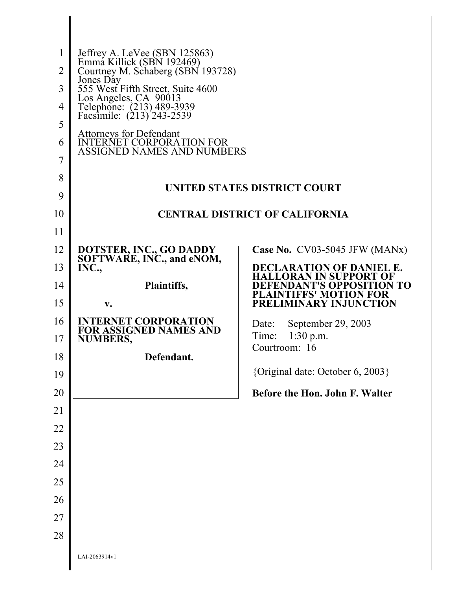| 1<br>$\overline{2}$<br>3<br>4<br>5<br>6<br>7<br>8 | Jeffrey A. LeVee (SBN 125863)<br>Emma Killick (SBN 192469)<br>Courtney M. Schaberg (SBN 193728)<br>Jones Day<br>555 West Fifth Street, Suite 4600<br>Los Angeles, CA 90013<br>Telephone: (213) 489-3939<br>Facsimile: (213) 243-2539<br>Attorneys for Defendant<br><b>INTERNET CORPORATION FOR</b><br><b>ASSIGNED NAMES AND NUMBERS</b> |                                                                  |
|---------------------------------------------------|-----------------------------------------------------------------------------------------------------------------------------------------------------------------------------------------------------------------------------------------------------------------------------------------------------------------------------------------|------------------------------------------------------------------|
| 9                                                 |                                                                                                                                                                                                                                                                                                                                         | UNITED STATES DISTRICT COURT                                     |
| 10                                                |                                                                                                                                                                                                                                                                                                                                         | <b>CENTRAL DISTRICT OF CALIFORNIA</b>                            |
| 11                                                |                                                                                                                                                                                                                                                                                                                                         |                                                                  |
| 12                                                | DOTSTER, INC., GO DADDY                                                                                                                                                                                                                                                                                                                 | Case No. $CV03-5045$ JFW (MANx)                                  |
| 13                                                | SOFTWARE, INC., and eNOM,<br>INC.,                                                                                                                                                                                                                                                                                                      | <b>DECLARATION OF DANIEL E.</b><br><b>HALLORAN IN SUPPORT OF</b> |
| 14                                                | Plaintiffs,                                                                                                                                                                                                                                                                                                                             | EFENDANT'S OPPOSITION TO<br><b>PLAINTIFFS' MOTION FOR</b>        |
| 15                                                | $V_{\bullet}$                                                                                                                                                                                                                                                                                                                           | <b>PRELIMINARY INJUNCTION</b>                                    |
| 16                                                | <b>INTERNET CORPORATION</b><br><b>FOR ASSIGNED NAMES AND</b>                                                                                                                                                                                                                                                                            | September 29, 2003<br>Date:                                      |
| 17                                                | <b>NUMBERS,</b>                                                                                                                                                                                                                                                                                                                         | $1:30$ p.m.<br>Time:<br>Courtroom: 16                            |
| 18                                                | Defendant.                                                                                                                                                                                                                                                                                                                              | {Original date: October 6, 2003}                                 |
| 19                                                |                                                                                                                                                                                                                                                                                                                                         |                                                                  |
| 20                                                |                                                                                                                                                                                                                                                                                                                                         | Before the Hon. John F. Walter                                   |
| 21<br>22                                          |                                                                                                                                                                                                                                                                                                                                         |                                                                  |
| 23                                                |                                                                                                                                                                                                                                                                                                                                         |                                                                  |
| 24                                                |                                                                                                                                                                                                                                                                                                                                         |                                                                  |
| 25                                                |                                                                                                                                                                                                                                                                                                                                         |                                                                  |
| 26                                                |                                                                                                                                                                                                                                                                                                                                         |                                                                  |
| 27                                                |                                                                                                                                                                                                                                                                                                                                         |                                                                  |
| 28                                                |                                                                                                                                                                                                                                                                                                                                         |                                                                  |
|                                                   | LAI-2063914v1                                                                                                                                                                                                                                                                                                                           |                                                                  |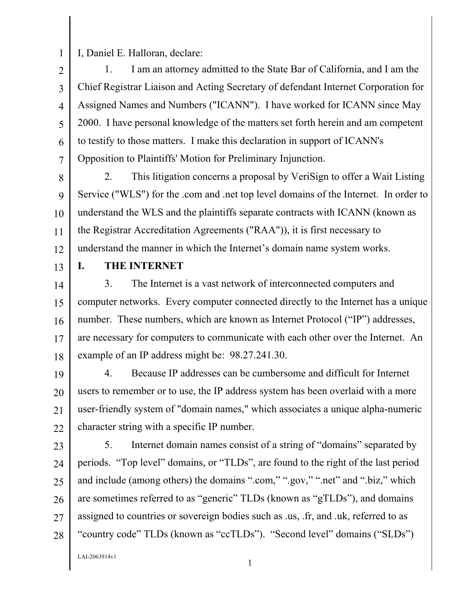I, Daniel E. Halloran, declare:

3 4 6 1. I am an attorney admitted to the State Bar of California, and I am the Chief Registrar Liaison and Acting Secretary of defendant Internet Corporation for Assigned Names and Numbers ("ICANN"). I have worked for ICANN since May 2000. I have personal knowledge of the matters set forth herein and am competent to testify to those matters. I make this declaration in support of ICANN's Opposition to Plaintiffs' Motion for Preliminary Injunction.

8 9 10 11 12 2. This litigation concerns a proposal by VeriSign to offer a Wait Listing Service ("WLS") for the .com and .net top level domains of the Internet. In order to understand the WLS and the plaintiffs separate contracts with ICANN (known as the Registrar Accreditation Agreements ("RAA")), it is first necessary to understand the manner in which the Internet's domain name system works.

13

1

2

5

7

#### **I. THE INTERNET**

14 15 16 17 18 3. The Internet is a vast network of interconnected computers and computer networks. Every computer connected directly to the Internet has a unique number. These numbers, which are known as Internet Protocol ("IP") addresses, are necessary for computers to communicate with each other over the Internet. An example of an IP address might be: 98.27.241.30.

19 20 21 22 4. Because IP addresses can be cumbersome and difficult for Internet users to remember or to use, the IP address system has been overlaid with a more user-friendly system of "domain names," which associates a unique alpha-numeric character string with a specific IP number.

- 23
- 24

25 26 27 28 5. Internet domain names consist of a string of "domains" separated by periods. "Top level" domains, or "TLDs", are found to the right of the last period and include (among others) the domains ".com," ".gov," ".net" and ".biz," which are sometimes referred to as "generic" TLDs (known as "gTLDs"), and domains assigned to countries or sovereign bodies such as .us, .fr, and .uk, referred to as "country code" TLDs (known as "ccTLDs"). "Second level" domains ("SLDs")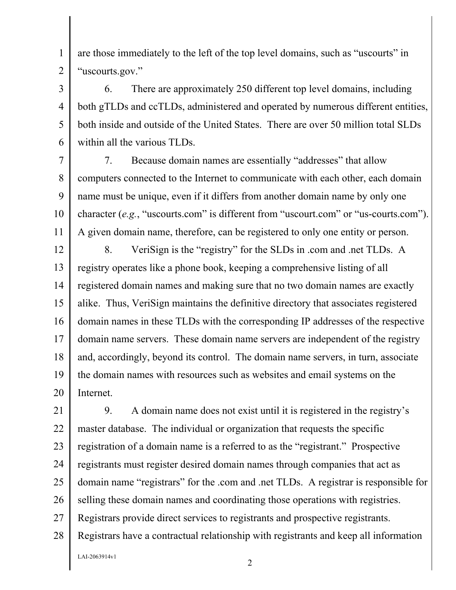are those immediately to the left of the top level domains, such as "uscourts" in "uscourts.gov."

1

2

3

4

5

6

6. There are approximately 250 different top level domains, including both gTLDs and ccTLDs, administered and operated by numerous different entities, both inside and outside of the United States. There are over 50 million total SLDs within all the various TLDs.

7 8 9 10 11 7. Because domain names are essentially "addresses" that allow computers connected to the Internet to communicate with each other, each domain name must be unique, even if it differs from another domain name by only one character (*e.g.*, "uscourts.com" is different from "uscourt.com" or "us-courts.com"). A given domain name, therefore, can be registered to only one entity or person.

12 13 14 15 16 17 18 19 20 8. VeriSign is the "registry" for the SLDs in .com and .net TLDs. A registry operates like a phone book, keeping a comprehensive listing of all registered domain names and making sure that no two domain names are exactly alike. Thus, VeriSign maintains the definitive directory that associates registered domain names in these TLDs with the corresponding IP addresses of the respective domain name servers. These domain name servers are independent of the registry and, accordingly, beyond its control. The domain name servers, in turn, associate the domain names with resources such as websites and email systems on the Internet.

21 22 23 24 25 26 27 28  $L$ AI-2063914v1 2 9. A domain name does not exist until it is registered in the registry's master database. The individual or organization that requests the specific registration of a domain name is a referred to as the "registrant." Prospective registrants must register desired domain names through companies that act as domain name "registrars" for the .com and .net TLDs. A registrar is responsible for selling these domain names and coordinating those operations with registries. Registrars provide direct services to registrants and prospective registrants. Registrars have a contractual relationship with registrants and keep all information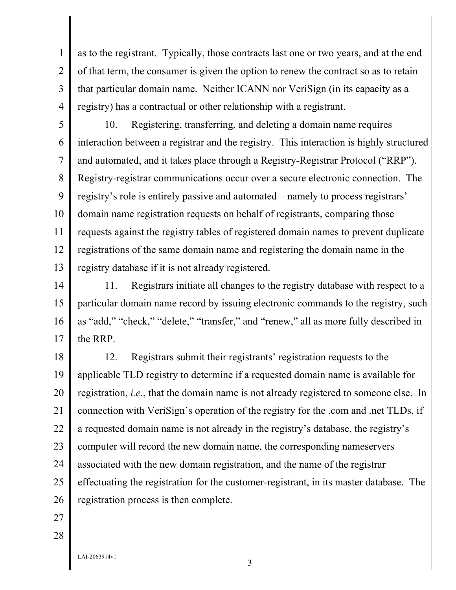3 4 as to the registrant. Typically, those contracts last one or two years, and at the end of that term, the consumer is given the option to renew the contract so as to retain that particular domain name. Neither ICANN nor VeriSign (in its capacity as a registry) has a contractual or other relationship with a registrant.

5 6 7 8 9 10 11 12 13 10. Registering, transferring, and deleting a domain name requires interaction between a registrar and the registry. This interaction is highly structured and automated, and it takes place through a Registry-Registrar Protocol ("RRP"). Registry-registrar communications occur over a secure electronic connection. The registry's role is entirely passive and automated – namely to process registrars' domain name registration requests on behalf of registrants, comparing those requests against the registry tables of registered domain names to prevent duplicate registrations of the same domain name and registering the domain name in the registry database if it is not already registered.

14 15 16 17 11. Registrars initiate all changes to the registry database with respect to a particular domain name record by issuing electronic commands to the registry, such as "add," "check," "delete," "transfer," and "renew," all as more fully described in the RRP.

18 19 20 21 22 23 24 25 26 12. Registrars submit their registrants' registration requests to the applicable TLD registry to determine if a requested domain name is available for registration, *i.e.*, that the domain name is not already registered to someone else. In connection with VeriSign's operation of the registry for the .com and .net TLDs, if a requested domain name is not already in the registry's database, the registry's computer will record the new domain name, the corresponding nameservers associated with the new domain registration, and the name of the registrar effectuating the registration for the customer-registrant, in its master database. The registration process is then complete.

27 28

1

2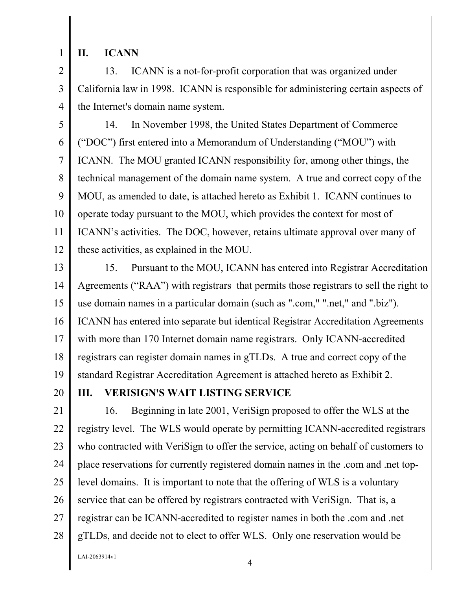1

## **II. ICANN**

2 3 4 13. ICANN is a not-for-profit corporation that was organized under California law in 1998. ICANN is responsible for administering certain aspects of the Internet's domain name system.

5 6 7 8 9 10 11 12 14. In November 1998, the United States Department of Commerce ("DOC") first entered into a Memorandum of Understanding ("MOU") with ICANN. The MOU granted ICANN responsibility for, among other things, the technical management of the domain name system. A true and correct copy of the MOU, as amended to date, is attached hereto as Exhibit 1. ICANN continues to operate today pursuant to the MOU, which provides the context for most of ICANN's activities. The DOC, however, retains ultimate approval over many of these activities, as explained in the MOU.

13 14 15 16 17 18 19 15. Pursuant to the MOU, ICANN has entered into Registrar Accreditation Agreements ("RAA") with registrars that permits those registrars to sell the right to use domain names in a particular domain (such as ".com," ".net," and ".biz"). ICANN has entered into separate but identical Registrar Accreditation Agreements with more than 170 Internet domain name registrars. Only ICANN-accredited registrars can register domain names in gTLDs. A true and correct copy of the standard Registrar Accreditation Agreement is attached hereto as Exhibit 2.

20

## **III. VERISIGN'S WAIT LISTING SERVICE**

21 22 23 24 25 26 27 28 16. Beginning in late 2001, VeriSign proposed to offer the WLS at the registry level. The WLS would operate by permitting ICANN-accredited registrars who contracted with VeriSign to offer the service, acting on behalf of customers to place reservations for currently registered domain names in the .com and .net toplevel domains. It is important to note that the offering of WLS is a voluntary service that can be offered by registrars contracted with VeriSign. That is, a registrar can be ICANN-accredited to register names in both the .com and .net gTLDs, and decide not to elect to offer WLS. Only one reservation would be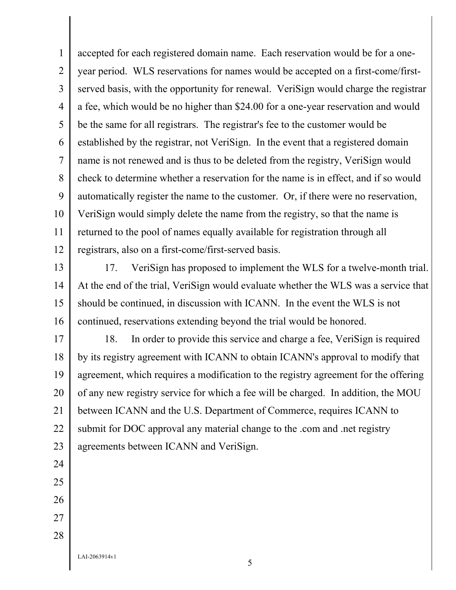1 2 3 4 5 6 7 8 9 10 11 12 accepted for each registered domain name. Each reservation would be for a oneyear period. WLS reservations for names would be accepted on a first-come/firstserved basis, with the opportunity for renewal. VeriSign would charge the registrar a fee, which would be no higher than \$24.00 for a one-year reservation and would be the same for all registrars. The registrar's fee to the customer would be established by the registrar, not VeriSign. In the event that a registered domain name is not renewed and is thus to be deleted from the registry, VeriSign would check to determine whether a reservation for the name is in effect, and if so would automatically register the name to the customer. Or, if there were no reservation, VeriSign would simply delete the name from the registry, so that the name is returned to the pool of names equally available for registration through all registrars, also on a first-come/first-served basis.

13 14 15 16 17. VeriSign has proposed to implement the WLS for a twelve-month trial. At the end of the trial, VeriSign would evaluate whether the WLS was a service that should be continued, in discussion with ICANN. In the event the WLS is not continued, reservations extending beyond the trial would be honored.

17 18 19 20 21 22 23 18. In order to provide this service and charge a fee, VeriSign is required by its registry agreement with ICANN to obtain ICANN's approval to modify that agreement, which requires a modification to the registry agreement for the offering of any new registry service for which a fee will be charged. In addition, the MOU between ICANN and the U.S. Department of Commerce, requires ICANN to submit for DOC approval any material change to the .com and .net registry agreements between ICANN and VeriSign.

- 24 25
- 26
- 27 28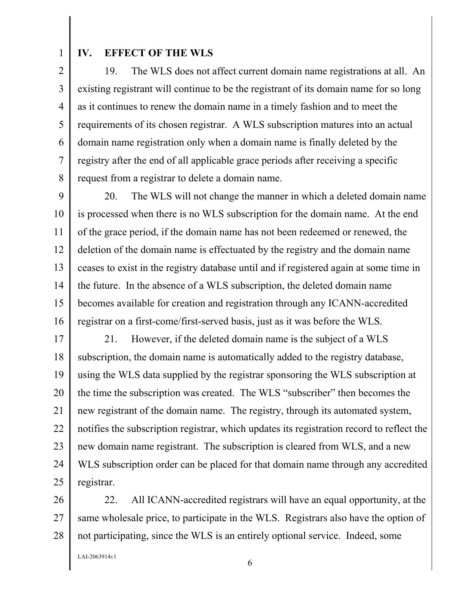1

### **IV. EFFECT OF THE WLS**

2 3 4 5 6 7 8 19. The WLS does not affect current domain name registrations at all. An existing registrant will continue to be the registrant of its domain name for so long as it continues to renew the domain name in a timely fashion and to meet the requirements of its chosen registrar. A WLS subscription matures into an actual domain name registration only when a domain name is finally deleted by the registry after the end of all applicable grace periods after receiving a specific request from a registrar to delete a domain name.

9 10 11 12 13 14 15 16 20. The WLS will not change the manner in which a deleted domain name is processed when there is no WLS subscription for the domain name. At the end of the grace period, if the domain name has not been redeemed or renewed, the deletion of the domain name is effectuated by the registry and the domain name ceases to exist in the registry database until and if registered again at some time in the future. In the absence of a WLS subscription, the deleted domain name becomes available for creation and registration through any ICANN-accredited registrar on a first-come/first-served basis, just as it was before the WLS.

17 18 19 20 21 22 23 24 25 21. However, if the deleted domain name is the subject of a WLS subscription, the domain name is automatically added to the registry database, using the WLS data supplied by the registrar sponsoring the WLS subscription at the time the subscription was created. The WLS "subscriber" then becomes the new registrant of the domain name. The registry, through its automated system, notifies the subscription registrar, which updates its registration record to reflect the new domain name registrant. The subscription is cleared from WLS, and a new WLS subscription order can be placed for that domain name through any accredited registrar.

26 27 28 22. All ICANN-accredited registrars will have an equal opportunity, at the same wholesale price, to participate in the WLS. Registrars also have the option of not participating, since the WLS is an entirely optional service. Indeed, some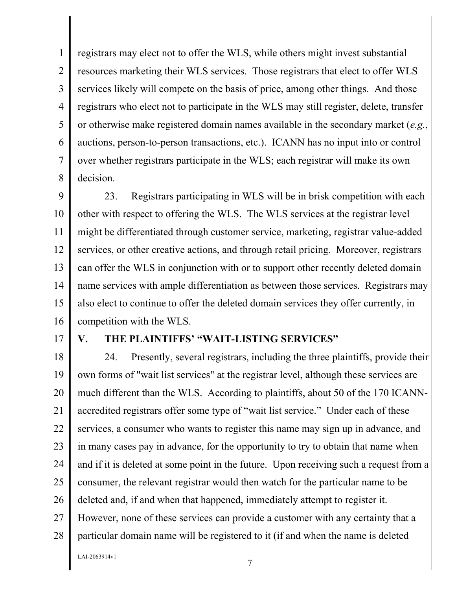1 2 3 4 5 6 7 8 registrars may elect not to offer the WLS, while others might invest substantial resources marketing their WLS services. Those registrars that elect to offer WLS services likely will compete on the basis of price, among other things. And those registrars who elect not to participate in the WLS may still register, delete, transfer or otherwise make registered domain names available in the secondary market (*e.g.*, auctions, person-to-person transactions, etc.). ICANN has no input into or control over whether registrars participate in the WLS; each registrar will make its own decision.

9 10 11 12 13 14 15 16 23. Registrars participating in WLS will be in brisk competition with each other with respect to offering the WLS. The WLS services at the registrar level might be differentiated through customer service, marketing, registrar value-added services, or other creative actions, and through retail pricing. Moreover, registrars can offer the WLS in conjunction with or to support other recently deleted domain name services with ample differentiation as between those services. Registrars may also elect to continue to offer the deleted domain services they offer currently, in competition with the WLS.

17

## **V. THE PLAINTIFFS' "WAIT-LISTING SERVICES"**

18 19 20 21 22 23 24 25 26 27 28 24. Presently, several registrars, including the three plaintiffs, provide their own forms of "wait list services" at the registrar level, although these services are much different than the WLS. According to plaintiffs, about 50 of the 170 ICANNaccredited registrars offer some type of "wait list service." Under each of these services, a consumer who wants to register this name may sign up in advance, and in many cases pay in advance, for the opportunity to try to obtain that name when and if it is deleted at some point in the future. Upon receiving such a request from a consumer, the relevant registrar would then watch for the particular name to be deleted and, if and when that happened, immediately attempt to register it. However, none of these services can provide a customer with any certainty that a particular domain name will be registered to it (if and when the name is deleted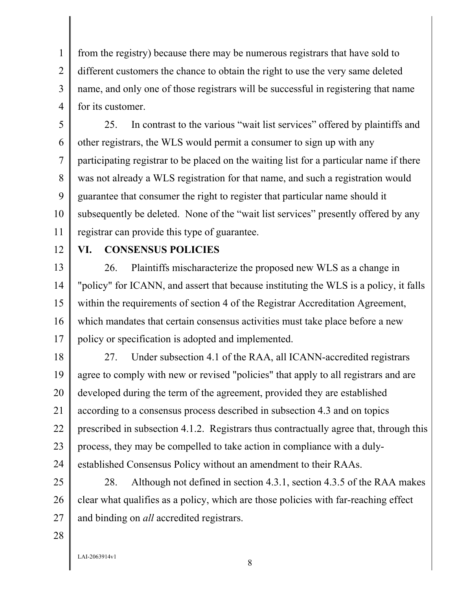1 2 3 4 from the registry) because there may be numerous registrars that have sold to different customers the chance to obtain the right to use the very same deleted name, and only one of those registrars will be successful in registering that name for its customer.

5 6 7 8 9 10 11 25. In contrast to the various "wait list services" offered by plaintiffs and other registrars, the WLS would permit a consumer to sign up with any participating registrar to be placed on the waiting list for a particular name if there was not already a WLS registration for that name, and such a registration would guarantee that consumer the right to register that particular name should it subsequently be deleted. None of the "wait list services" presently offered by any registrar can provide this type of guarantee.

12

#### **VI. CONSENSUS POLICIES**

13 14 15 16 17 26. Plaintiffs mischaracterize the proposed new WLS as a change in "policy" for ICANN, and assert that because instituting the WLS is a policy, it falls within the requirements of section 4 of the Registrar Accreditation Agreement, which mandates that certain consensus activities must take place before a new policy or specification is adopted and implemented.

18 19 20 21 22 23 24 27. Under subsection 4.1 of the RAA, all ICANN-accredited registrars agree to comply with new or revised "policies" that apply to all registrars and are developed during the term of the agreement, provided they are established according to a consensus process described in subsection 4.3 and on topics prescribed in subsection 4.1.2. Registrars thus contractually agree that, through this process, they may be compelled to take action in compliance with a dulyestablished Consensus Policy without an amendment to their RAAs.

25 26 27 28. Although not defined in section 4.3.1, section 4.3.5 of the RAA makes clear what qualifies as a policy, which are those policies with far-reaching effect and binding on *all* accredited registrars.

28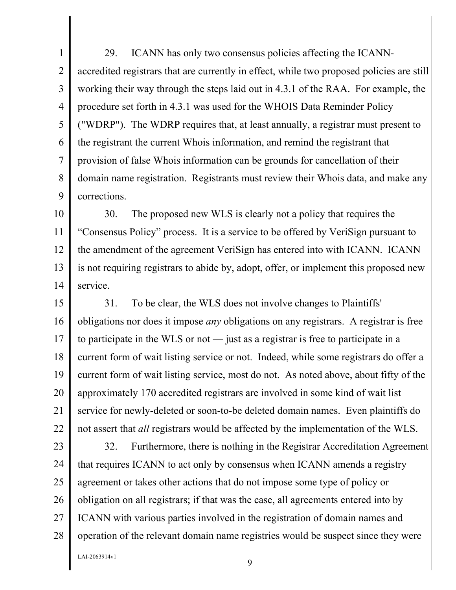1 2 3 4 5 6 7 8 9 29. ICANN has only two consensus policies affecting the ICANNaccredited registrars that are currently in effect, while two proposed policies are still working their way through the steps laid out in 4.3.1 of the RAA. For example, the procedure set forth in 4.3.1 was used for the WHOIS Data Reminder Policy ("WDRP"). The WDRP requires that, at least annually, a registrar must present to the registrant the current Whois information, and remind the registrant that provision of false Whois information can be grounds for cancellation of their domain name registration. Registrants must review their Whois data, and make any corrections.

10 11 12 13 14 30. The proposed new WLS is clearly not a policy that requires the "Consensus Policy" process. It is a service to be offered by VeriSign pursuant to the amendment of the agreement VeriSign has entered into with ICANN. ICANN is not requiring registrars to abide by, adopt, offer, or implement this proposed new service.

15 16 17 18 19 20 21 22 31. To be clear, the WLS does not involve changes to Plaintiffs' obligations nor does it impose *any* obligations on any registrars. A registrar is free to participate in the WLS or not — just as a registrar is free to participate in a current form of wait listing service or not. Indeed, while some registrars do offer a current form of wait listing service, most do not. As noted above, about fifty of the approximately 170 accredited registrars are involved in some kind of wait list service for newly-deleted or soon-to-be deleted domain names. Even plaintiffs do not assert that *all* registrars would be affected by the implementation of the WLS.

23 24 25 26 27 28 32. Furthermore, there is nothing in the Registrar Accreditation Agreement that requires ICANN to act only by consensus when ICANN amends a registry agreement or takes other actions that do not impose some type of policy or obligation on all registrars; if that was the case, all agreements entered into by ICANN with various parties involved in the registration of domain names and operation of the relevant domain name registries would be suspect since they were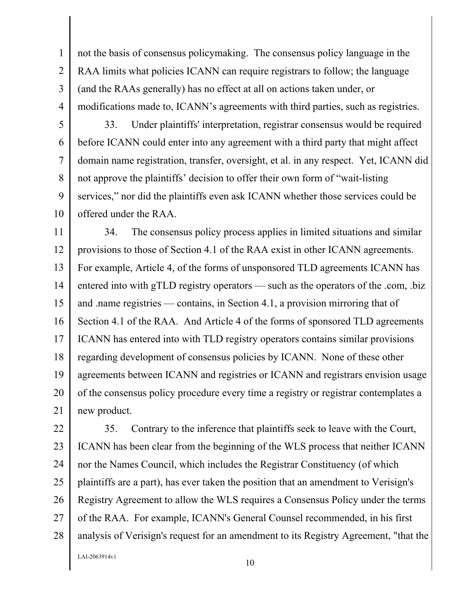not the basis of consensus policymaking. The consensus policy language in the RAA limits what policies ICANN can require registrars to follow; the language (and the RAAs generally) has no effect at all on actions taken under, or modifications made to, ICANN's agreements with third parties, such as registries.

5

6

7

8

9

10

1

2

3

4

33. Under plaintiffs' interpretation, registrar consensus would be required before ICANN could enter into any agreement with a third party that might affect domain name registration, transfer, oversight, et al. in any respect. Yet, ICANN did not approve the plaintiffs' decision to offer their own form of "wait-listing services," nor did the plaintiffs even ask ICANN whether those services could be offered under the RAA.

11 12 13 14 15 16 17 18 19 20 21 34. The consensus policy process applies in limited situations and similar provisions to those of Section 4.1 of the RAA exist in other ICANN agreements. For example, Article 4, of the forms of unsponsored TLD agreements ICANN has entered into with gTLD registry operators — such as the operators of the .com, .biz and .name registries — contains, in Section 4.1, a provision mirroring that of Section 4.1 of the RAA. And Article 4 of the forms of sponsored TLD agreements ICANN has entered into with TLD registry operators contains similar provisions regarding development of consensus policies by ICANN. None of these other agreements between ICANN and registries or ICANN and registrars envision usage of the consensus policy procedure every time a registry or registrar contemplates a new product.

22 23 24 25 26 27 28 35. Contrary to the inference that plaintiffs seek to leave with the Court, ICANN has been clear from the beginning of the WLS process that neither ICANN nor the Names Council, which includes the Registrar Constituency (of which plaintiffs are a part), has ever taken the position that an amendment to Verisign's Registry Agreement to allow the WLS requires a Consensus Policy under the terms of the RAA. For example, ICANN's General Counsel recommended, in his first analysis of Verisign's request for an amendment to its Registry Agreement, "that the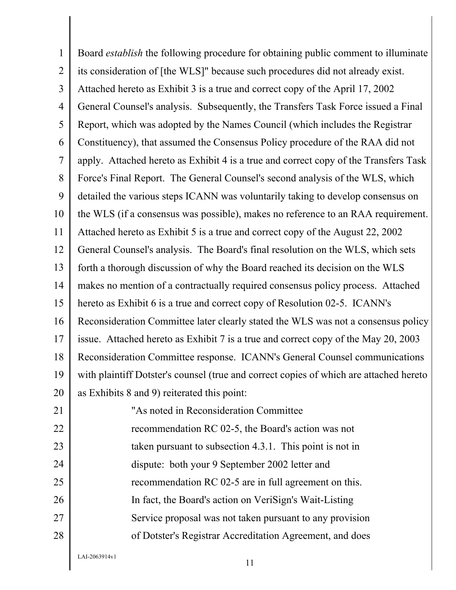1 2 3 4 5 6 7 8 9 10 11 12 13 14 15 16 17 18 19 20 21 22 23 24 25 26 27 28 Board *establish* the following procedure for obtaining public comment to illuminate its consideration of [the WLS]" because such procedures did not already exist. Attached hereto as Exhibit 3 is a true and correct copy of the April 17, 2002 General Counsel's analysis. Subsequently, the Transfers Task Force issued a Final Report, which was adopted by the Names Council (which includes the Registrar Constituency), that assumed the Consensus Policy procedure of the RAA did not apply. Attached hereto as Exhibit 4 is a true and correct copy of the Transfers Task Force's Final Report. The General Counsel's second analysis of the WLS, which detailed the various steps ICANN was voluntarily taking to develop consensus on the WLS (if a consensus was possible), makes no reference to an RAA requirement. Attached hereto as Exhibit 5 is a true and correct copy of the August 22, 2002 General Counsel's analysis. The Board's final resolution on the WLS, which sets forth a thorough discussion of why the Board reached its decision on the WLS makes no mention of a contractually required consensus policy process. Attached hereto as Exhibit 6 is a true and correct copy of Resolution 02-5. ICANN's Reconsideration Committee later clearly stated the WLS was not a consensus policy issue. Attached hereto as Exhibit 7 is a true and correct copy of the May 20, 2003 Reconsideration Committee response. ICANN's General Counsel communications with plaintiff Dotster's counsel (true and correct copies of which are attached hereto as Exhibits 8 and 9) reiterated this point: "As noted in Reconsideration Committee recommendation RC 02-5, the Board's action was not taken pursuant to subsection 4.3.1. This point is not in dispute: both your 9 September 2002 letter and recommendation RC 02-5 are in full agreement on this. In fact, the Board's action on VeriSign's Wait-Listing Service proposal was not taken pursuant to any provision of Dotster's Registrar Accreditation Agreement, and does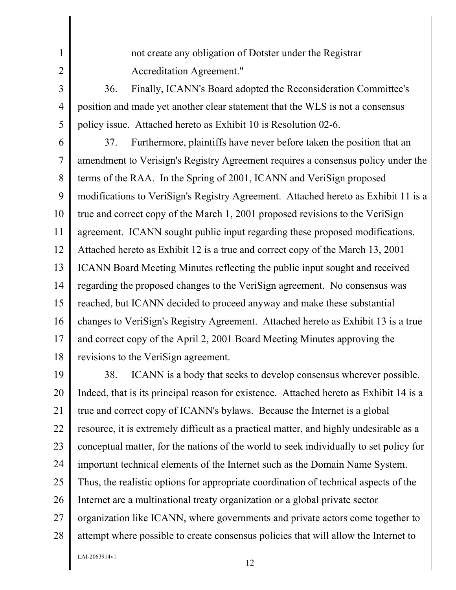not create any obligation of Dotster under the Registrar Accreditation Agreement."

36. Finally, ICANN's Board adopted the Reconsideration Committee's position and made yet another clear statement that the WLS is not a consensus policy issue. Attached hereto as Exhibit 10 is Resolution 02-6.

6 7 8 9 10 11 12 13 14 15 16 17 18 37. Furthermore, plaintiffs have never before taken the position that an amendment to Verisign's Registry Agreement requires a consensus policy under the terms of the RAA. In the Spring of 2001, ICANN and VeriSign proposed modifications to VeriSign's Registry Agreement. Attached hereto as Exhibit 11 is a true and correct copy of the March 1, 2001 proposed revisions to the VeriSign agreement. ICANN sought public input regarding these proposed modifications. Attached hereto as Exhibit 12 is a true and correct copy of the March 13, 2001 ICANN Board Meeting Minutes reflecting the public input sought and received regarding the proposed changes to the VeriSign agreement. No consensus was reached, but ICANN decided to proceed anyway and make these substantial changes to VeriSign's Registry Agreement. Attached hereto as Exhibit 13 is a true and correct copy of the April 2, 2001 Board Meeting Minutes approving the revisions to the VeriSign agreement.

19 20 21 22 23 24 25 26 27 28 38. ICANN is a body that seeks to develop consensus wherever possible. Indeed, that is its principal reason for existence. Attached hereto as Exhibit 14 is a true and correct copy of ICANN's bylaws. Because the Internet is a global resource, it is extremely difficult as a practical matter, and highly undesirable as a conceptual matter, for the nations of the world to seek individually to set policy for important technical elements of the Internet such as the Domain Name System. Thus, the realistic options for appropriate coordination of technical aspects of the Internet are a multinational treaty organization or a global private sector organization like ICANN, where governments and private actors come together to attempt where possible to create consensus policies that will allow the Internet to

 $L$ AI-2063914v1 12

1

2

3

4

5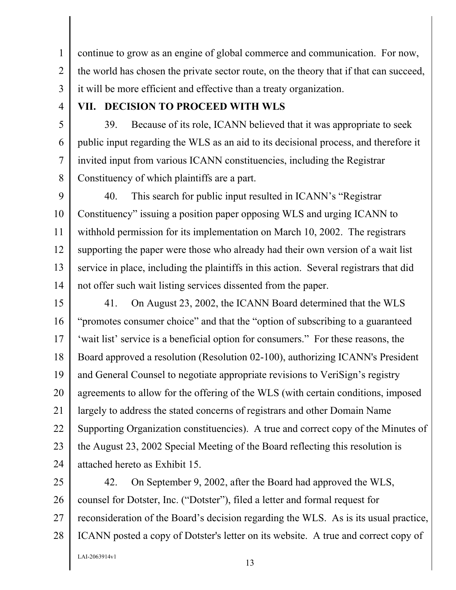1 2 3 continue to grow as an engine of global commerce and communication. For now, the world has chosen the private sector route, on the theory that if that can succeed, it will be more efficient and effective than a treaty organization.

4

5

6

7

8

## **VII. DECISION TO PROCEED WITH WLS**

39. Because of its role, ICANN believed that it was appropriate to seek public input regarding the WLS as an aid to its decisional process, and therefore it invited input from various ICANN constituencies, including the Registrar Constituency of which plaintiffs are a part.

9 10 11 12 13 14 40. This search for public input resulted in ICANN's "Registrar Constituency" issuing a position paper opposing WLS and urging ICANN to withhold permission for its implementation on March 10, 2002. The registrars supporting the paper were those who already had their own version of a wait list service in place, including the plaintiffs in this action. Several registrars that did not offer such wait listing services dissented from the paper.

15 16 17 18 19 20 21 22 23 24 41. On August 23, 2002, the ICANN Board determined that the WLS "promotes consumer choice" and that the "option of subscribing to a guaranteed 'wait list' service is a beneficial option for consumers." For these reasons, the Board approved a resolution (Resolution 02-100), authorizing ICANN's President and General Counsel to negotiate appropriate revisions to VeriSign's registry agreements to allow for the offering of the WLS (with certain conditions, imposed largely to address the stated concerns of registrars and other Domain Name Supporting Organization constituencies). A true and correct copy of the Minutes of the August 23, 2002 Special Meeting of the Board reflecting this resolution is attached hereto as Exhibit 15.

25 26 27 28 42. On September 9, 2002, after the Board had approved the WLS, counsel for Dotster, Inc. ("Dotster"), filed a letter and formal request for reconsideration of the Board's decision regarding the WLS. As is its usual practice, ICANN posted a copy of Dotster's letter on its website. A true and correct copy of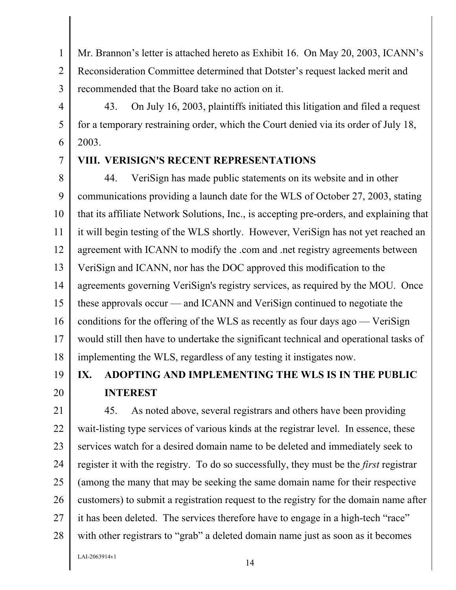1 2 3 Mr. Brannon's letter is attached hereto as Exhibit 16. On May 20, 2003, ICANN's Reconsideration Committee determined that Dotster's request lacked merit and recommended that the Board take no action on it.

43. On July 16, 2003, plaintiffs initiated this litigation and filed a request for a temporary restraining order, which the Court denied via its order of July 18, 2003.

## **VIII. VERISIGN'S RECENT REPRESENTATIONS**

8 9 10 11 12 13 14 15 16 17 18 44. VeriSign has made public statements on its website and in other communications providing a launch date for the WLS of October 27, 2003, stating that its affiliate Network Solutions, Inc., is accepting pre-orders, and explaining that it will begin testing of the WLS shortly. However, VeriSign has not yet reached an agreement with ICANN to modify the .com and .net registry agreements between VeriSign and ICANN, nor has the DOC approved this modification to the agreements governing VeriSign's registry services, as required by the MOU. Once these approvals occur — and ICANN and VeriSign continued to negotiate the conditions for the offering of the WLS as recently as four days ago — VeriSign would still then have to undertake the significant technical and operational tasks of implementing the WLS, regardless of any testing it instigates now.

19 20

4

5

6

7

# **IX. ADOPTING AND IMPLEMENTING THE WLS IS IN THE PUBLIC INTEREST**

21 22 23 24 25 26 27 28 45. As noted above, several registrars and others have been providing wait-listing type services of various kinds at the registrar level. In essence, these services watch for a desired domain name to be deleted and immediately seek to register it with the registry. To do so successfully, they must be the *first* registrar (among the many that may be seeking the same domain name for their respective customers) to submit a registration request to the registry for the domain name after it has been deleted. The services therefore have to engage in a high-tech "race" with other registrars to "grab" a deleted domain name just as soon as it becomes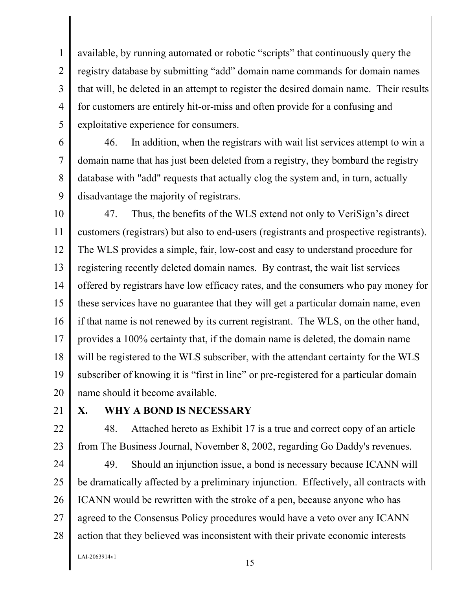3 4 available, by running automated or robotic "scripts" that continuously query the registry database by submitting "add" domain name commands for domain names that will, be deleted in an attempt to register the desired domain name. Their results for customers are entirely hit-or-miss and often provide for a confusing and exploitative experience for consumers.

6 7 8 9 46. In addition, when the registrars with wait list services attempt to win a domain name that has just been deleted from a registry, they bombard the registry database with "add" requests that actually clog the system and, in turn, actually disadvantage the majority of registrars.

10 11 12 13 14 15 16 17 18 19 20 47. Thus, the benefits of the WLS extend not only to VeriSign's direct customers (registrars) but also to end-users (registrants and prospective registrants). The WLS provides a simple, fair, low-cost and easy to understand procedure for registering recently deleted domain names. By contrast, the wait list services offered by registrars have low efficacy rates, and the consumers who pay money for these services have no guarantee that they will get a particular domain name, even if that name is not renewed by its current registrant. The WLS, on the other hand, provides a 100% certainty that, if the domain name is deleted, the domain name will be registered to the WLS subscriber, with the attendant certainty for the WLS subscriber of knowing it is "first in line" or pre-registered for a particular domain name should it become available.

21

1

2

5

### **X. WHY A BOND IS NECESSARY**

22 23 48. Attached hereto as Exhibit 17 is a true and correct copy of an article from The Business Journal, November 8, 2002, regarding Go Daddy's revenues.

24 25 26 27 28 49. Should an injunction issue, a bond is necessary because ICANN will be dramatically affected by a preliminary injunction. Effectively, all contracts with ICANN would be rewritten with the stroke of a pen, because anyone who has agreed to the Consensus Policy procedures would have a veto over any ICANN action that they believed was inconsistent with their private economic interests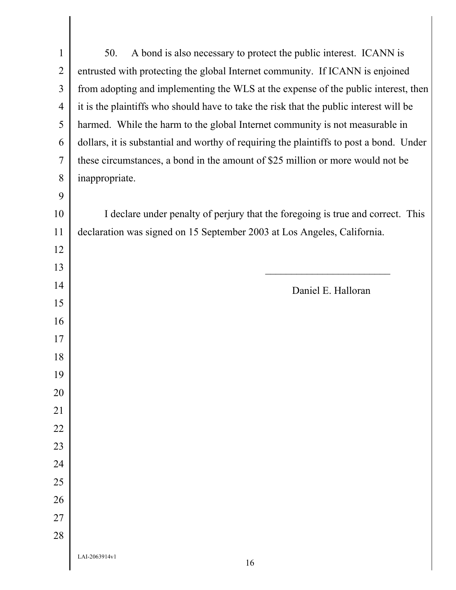LAI-2063914v1 50. A bond is also necessary to protect the public interest. ICANN is entrusted with protecting the global Internet community. If ICANN is enjoined from adopting and implementing the WLS at the expense of the public interest, then it is the plaintiffs who should have to take the risk that the public interest will be harmed. While the harm to the global Internet community is not measurable in dollars, it is substantial and worthy of requiring the plaintiffs to post a bond. Under these circumstances, a bond in the amount of \$25 million or more would not be inappropriate. I declare under penalty of perjury that the foregoing is true and correct. This declaration was signed on 15 September 2003 at Los Angeles, California. Daniel E. Halloran